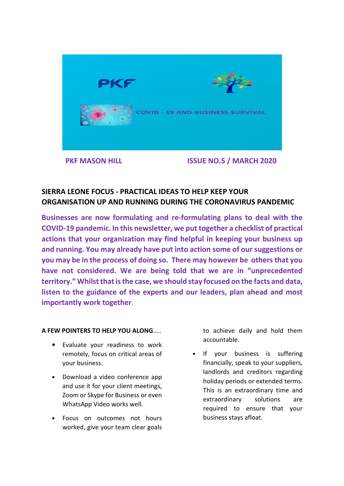

# **SIERRA LEONE FOCUS - PRACTICAL IDEAS TO HELP KEEP YOUR ORGANISATION UP AND RUNNING DURING THE CORONAVIRUS PANDEMIC**

**Businesses are now formulating and re-formulating plans to deal with the COVID-19 pandemic. In this newsletter, we put together a checklist of practical actions that your organization may find helpful in keeping your business up and running. You may already have put into action some of our suggestions or you may be in the process of doing so. There may however be others that you have not considered. We are being told that we are in "unprecedented territory." Whilst that is the case, we should stay focused on the facts and data, listen to the guidance of the experts and our leaders, plan ahead and most importantly work together**.

## **A FEW POINTERS TO HELP YOU ALONG**…..

- Evaluate your readiness to work remotely, focus on critical areas of your business.
- Download a video conference app and use it for your client meetings, Zoom or Skype for Business or even WhatsApp Video works well.
- Focus on outcomes not hours worked, give your team clear goals

to achieve daily and hold them accountable.

• If your business is suffering financially, speak to your suppliers, landlords and creditors regarding holiday periods or extended terms. This is an extraordinary time and extraordinary solutions are required to ensure that your business stays afloat.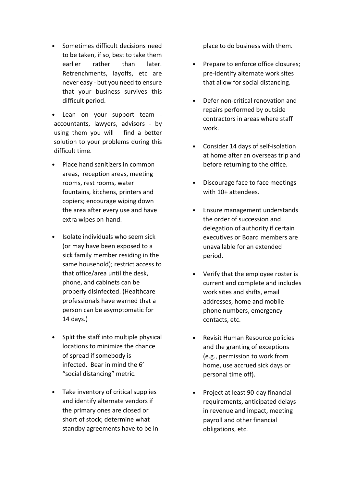- Sometimes difficult decisions need to be taken, if so, best to take them earlier rather than later. Retrenchments, layoffs, etc are never easy - but you need to ensure that your business survives this difficult period.
- Lean on your support team accountants, lawyers, advisors - by using them you will find a better solution to your problems during this difficult time.
- Place hand sanitizers in common areas, reception areas, meeting rooms, rest rooms, water fountains, kitchens, printers and copiers; encourage wiping down the area after every use and have extra wipes on-hand.
- Isolate individuals who seem sick (or may have been exposed to a sick family member residing in the same household); restrict access to that office/area until the desk, phone, and cabinets can be properly disinfected. (Healthcare professionals have warned that a person can be asymptomatic for 14 days.)
- Split the staff into multiple physical locations to minimize the chance of spread if somebody is infected. Bear in mind the 6' "social distancing" metric.
- Take inventory of critical supplies and identify alternate vendors if the primary ones are closed or short of stock; determine what standby agreements have to be in

place to do business with them.

- Prepare to enforce office closures; pre-identify alternate work sites that allow for social distancing.
- Defer non-critical renovation and repairs performed by outside contractors in areas where staff work.
- Consider 14 days of self-isolation at home after an overseas trip and before returning to the office.
- Discourage face to face meetings with 10+ attendees.
- Ensure management understands the order of succession and delegation of authority if certain executives or Board members are unavailable for an extended period.
- Verify that the employee roster is current and complete and includes work sites and shifts, email addresses, home and mobile phone numbers, emergency contacts, etc.
- Revisit Human Resource policies and the granting of exceptions (e.g., permission to work from home, use accrued sick days or personal time off).
- Project at least 90-day financial requirements, anticipated delays in revenue and impact, meeting payroll and other financial obligations, etc.